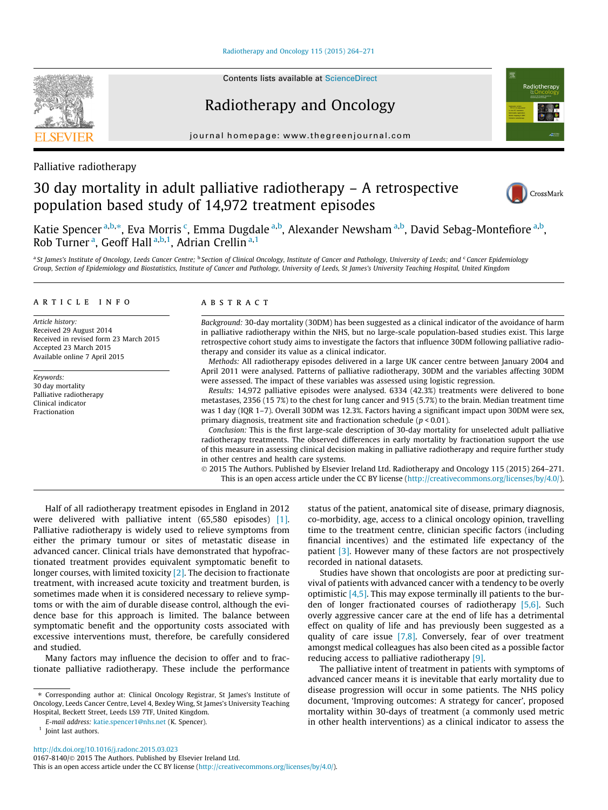## [Radiotherapy and Oncology 115 \(2015\) 264–271](http://dx.doi.org/10.1016/j.radonc.2015.03.023)

Contents lists available at [ScienceDirect](http://www.sciencedirect.com/science/journal/01678140)

# Radiotherapy and Oncology

journal homepage: [www.thegreenjournal.com](http://www.thegreenjournal.com)



# Palliative radiotherapy

# 30 day mortality in adult palliative radiotherapy – A retrospective population based study of 14,972 treatment episodes



Katie Spencer <sup>a,b,</sup>\*, Eva Morris <sup>c</sup>, Emma Dugdale <sup>a,b</sup>, Alexander Newsham <sup>a,b</sup>, David Sebag-Montefiore <sup>a,b</sup>, Rob Turner<sup>a</sup>, Geoff Hall<sup>a,b,1</sup>, Adrian Crellin<sup>a,1</sup>

<sup>a</sup> St James's Institute of Oncology, Leeds Cancer Centre; <sup>b</sup> Section of Clinical Oncology, Institute of Cancer and Pathology, University of Leeds; and <sup>c</sup> Cancer Epidemiology Group, Section of Epidemiology and Biostatistics, Institute of Cancer and Pathology, University of Leeds, St James's University Teaching Hospital, United Kingdom

## article info

Article history: Received 29 August 2014 Received in revised form 23 March 2015 Accepted 23 March 2015 Available online 7 April 2015

Keywords: 30 day mortality Palliative radiotherapy Clinical indicator Fractionation

#### ABSTRACT

Background: 30-day mortality (30DM) has been suggested as a clinical indicator of the avoidance of harm in palliative radiotherapy within the NHS, but no large-scale population-based studies exist. This large retrospective cohort study aims to investigate the factors that influence 30DM following palliative radiotherapy and consider its value as a clinical indicator.

Methods: All radiotherapy episodes delivered in a large UK cancer centre between January 2004 and April 2011 were analysed. Patterns of palliative radiotherapy, 30DM and the variables affecting 30DM were assessed. The impact of these variables was assessed using logistic regression.

Results: 14,972 palliative episodes were analysed. 6334 (42.3%) treatments were delivered to bone metastases, 2356 (15 7%) to the chest for lung cancer and 915 (5.7%) to the brain. Median treatment time was 1 day (IQR 1–7). Overall 30DM was 12.3%. Factors having a significant impact upon 30DM were sex, primary diagnosis, treatment site and fractionation schedule ( $p < 0.01$ ).

Conclusion: This is the first large-scale description of 30-day mortality for unselected adult palliative radiotherapy treatments. The observed differences in early mortality by fractionation support the use of this measure in assessing clinical decision making in palliative radiotherapy and require further study in other centres and health care systems.

- 2015 The Authors. Published by Elsevier Ireland Ltd. Radiotherapy and Oncology 115 (2015) 264–271. This is an open access article under the CC BY license [\(http://creativecommons.org/licenses/by/4.0/](http://creativecommons.org/licenses/by/4.0/)).

Half of all radiotherapy treatment episodes in England in 2012 were delivered with palliative intent (65,580 episodes) [\[1\].](#page-6-0) Palliative radiotherapy is widely used to relieve symptoms from either the primary tumour or sites of metastatic disease in advanced cancer. Clinical trials have demonstrated that hypofractionated treatment provides equivalent symptomatic benefit to longer courses, with limited toxicity [\[2\].](#page-6-0) The decision to fractionate treatment, with increased acute toxicity and treatment burden, is sometimes made when it is considered necessary to relieve symptoms or with the aim of durable disease control, although the evidence base for this approach is limited. The balance between symptomatic benefit and the opportunity costs associated with excessive interventions must, therefore, be carefully considered and studied.

Many factors may influence the decision to offer and to fractionate palliative radiotherapy. These include the performance

⇑ Corresponding author at: Clinical Oncology Registrar, St James's Institute of Oncology, Leeds Cancer Centre, Level 4, Bexley Wing, St James's University Teaching Hospital, Beckett Street, Leeds LS9 7TF, United Kingdom.

E-mail address: [katie.spencer1@nhs.net](mailto:katie.spencer1@nhs.net) (K. Spencer).

<http://dx.doi.org/10.1016/j.radonc.2015.03.023> 0167-8140/© 2015 The Authors. Published by Elsevier Ireland Ltd.

This is an open access article under the CC BY license ([http://creativecommons.org/licenses/by/4.0/\)](http://creativecommons.org/licenses/by/4.0/).

status of the patient, anatomical site of disease, primary diagnosis, co-morbidity, age, access to a clinical oncology opinion, travelling time to the treatment centre, clinician specific factors (including financial incentives) and the estimated life expectancy of the patient [\[3\]](#page-6-0). However many of these factors are not prospectively recorded in national datasets.

Studies have shown that oncologists are poor at predicting survival of patients with advanced cancer with a tendency to be overly optimistic [\[4,5\]](#page-6-0). This may expose terminally ill patients to the burden of longer fractionated courses of radiotherapy [\[5,6\].](#page-6-0) Such overly aggressive cancer care at the end of life has a detrimental effect on quality of life and has previously been suggested as a quality of care issue  $[7,8]$ . Conversely, fear of over treatment amongst medical colleagues has also been cited as a possible factor reducing access to palliative radiotherapy [\[9\].](#page-6-0)

The palliative intent of treatment in patients with symptoms of advanced cancer means it is inevitable that early mortality due to disease progression will occur in some patients. The NHS policy document, 'Improving outcomes: A strategy for cancer', proposed mortality within 30-days of treatment (a commonly used metric in other health interventions) as a clinical indicator to assess the



<sup>&</sup>lt;sup>1</sup> Joint last authors.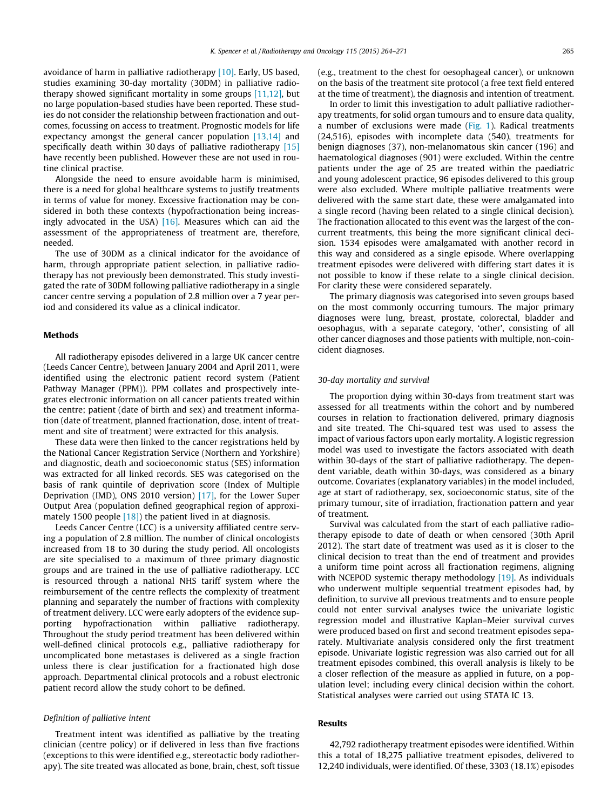avoidance of harm in palliative radiotherapy [\[10\]](#page-6-0). Early, US based, studies examining 30-day mortality (30DM) in palliative radiotherapy showed significant mortality in some groups [\[11,12\]](#page-6-0), but no large population-based studies have been reported. These studies do not consider the relationship between fractionation and outcomes, focussing on access to treatment. Prognostic models for life expectancy amongst the general cancer population [\[13,14\]](#page-7-0) and specifically death within 30 days of palliative radiotherapy [\[15\]](#page-7-0) have recently been published. However these are not used in routine clinical practise.

Alongside the need to ensure avoidable harm is minimised, there is a need for global healthcare systems to justify treatments in terms of value for money. Excessive fractionation may be considered in both these contexts (hypofractionation being increasingly advocated in the USA)  $[16]$ . Measures which can aid the assessment of the appropriateness of treatment are, therefore, needed.

The use of 30DM as a clinical indicator for the avoidance of harm, through appropriate patient selection, in palliative radiotherapy has not previously been demonstrated. This study investigated the rate of 30DM following palliative radiotherapy in a single cancer centre serving a population of 2.8 million over a 7 year period and considered its value as a clinical indicator.

## Methods

All radiotherapy episodes delivered in a large UK cancer centre (Leeds Cancer Centre), between January 2004 and April 2011, were identified using the electronic patient record system (Patient Pathway Manager (PPM)). PPM collates and prospectively integrates electronic information on all cancer patients treated within the centre; patient (date of birth and sex) and treatment information (date of treatment, planned fractionation, dose, intent of treatment and site of treatment) were extracted for this analysis.

These data were then linked to the cancer registrations held by the National Cancer Registration Service (Northern and Yorkshire) and diagnostic, death and socioeconomic status (SES) information was extracted for all linked records. SES was categorised on the basis of rank quintile of deprivation score (Index of Multiple Deprivation (IMD), ONS 2010 version) [\[17\],](#page-7-0) for the Lower Super Output Area (population defined geographical region of approxi-mately 1500 people [\[18\]](#page-7-0)) the patient lived in at diagnosis.

Leeds Cancer Centre (LCC) is a university affiliated centre serving a population of 2.8 million. The number of clinical oncologists increased from 18 to 30 during the study period. All oncologists are site specialised to a maximum of three primary diagnostic groups and are trained in the use of palliative radiotherapy. LCC is resourced through a national NHS tariff system where the reimbursement of the centre reflects the complexity of treatment planning and separately the number of fractions with complexity of treatment delivery. LCC were early adopters of the evidence supporting hypofractionation within palliative radiotherapy. Throughout the study period treatment has been delivered within well-defined clinical protocols e.g., palliative radiotherapy for uncomplicated bone metastases is delivered as a single fraction unless there is clear justification for a fractionated high dose approach. Departmental clinical protocols and a robust electronic patient record allow the study cohort to be defined.

#### Definition of palliative intent

Treatment intent was identified as palliative by the treating clinician (centre policy) or if delivered in less than five fractions (exceptions to this were identified e.g., stereotactic body radiotherapy). The site treated was allocated as bone, brain, chest, soft tissue

(e.g., treatment to the chest for oesophageal cancer), or unknown on the basis of the treatment site protocol (a free text field entered at the time of treatment), the diagnosis and intention of treatment.

In order to limit this investigation to adult palliative radiotherapy treatments, for solid organ tumours and to ensure data quality, a number of exclusions were made [\(Fig. 1\)](#page-2-0). Radical treatments (24,516), episodes with incomplete data (540), treatments for benign diagnoses (37), non-melanomatous skin cancer (196) and haematological diagnoses (901) were excluded. Within the centre patients under the age of 25 are treated within the paediatric and young adolescent practice, 96 episodes delivered to this group were also excluded. Where multiple palliative treatments were delivered with the same start date, these were amalgamated into a single record (having been related to a single clinical decision). The fractionation allocated to this event was the largest of the concurrent treatments, this being the more significant clinical decision. 1534 episodes were amalgamated with another record in this way and considered as a single episode. Where overlapping treatment episodes were delivered with differing start dates it is not possible to know if these relate to a single clinical decision. For clarity these were considered separately.

The primary diagnosis was categorised into seven groups based on the most commonly occurring tumours. The major primary diagnoses were lung, breast, prostate, colorectal, bladder and oesophagus, with a separate category, 'other', consisting of all other cancer diagnoses and those patients with multiple, non-coincident diagnoses.

#### 30-day mortality and survival

The proportion dying within 30-days from treatment start was assessed for all treatments within the cohort and by numbered courses in relation to fractionation delivered, primary diagnosis and site treated. The Chi-squared test was used to assess the impact of various factors upon early mortality. A logistic regression model was used to investigate the factors associated with death within 30-days of the start of palliative radiotherapy. The dependent variable, death within 30-days, was considered as a binary outcome. Covariates (explanatory variables) in the model included, age at start of radiotherapy, sex, socioeconomic status, site of the primary tumour, site of irradiation, fractionation pattern and year of treatment.

Survival was calculated from the start of each palliative radiotherapy episode to date of death or when censored (30th April 2012). The start date of treatment was used as it is closer to the clinical decision to treat than the end of treatment and provides a uniform time point across all fractionation regimens, aligning with NCEPOD systemic therapy methodology [\[19\].](#page-7-0) As individuals who underwent multiple sequential treatment episodes had, by definition, to survive all previous treatments and to ensure people could not enter survival analyses twice the univariate logistic regression model and illustrative Kaplan–Meier survival curves were produced based on first and second treatment episodes separately. Multivariate analysis considered only the first treatment episode. Univariate logistic regression was also carried out for all treatment episodes combined, this overall analysis is likely to be a closer reflection of the measure as applied in future, on a population level; including every clinical decision within the cohort. Statistical analyses were carried out using STATA IC 13.

## Results

42,792 radiotherapy treatment episodes were identified. Within this a total of 18,275 palliative treatment episodes, delivered to 12,240 individuals, were identified. Of these, 3303 (18.1%) episodes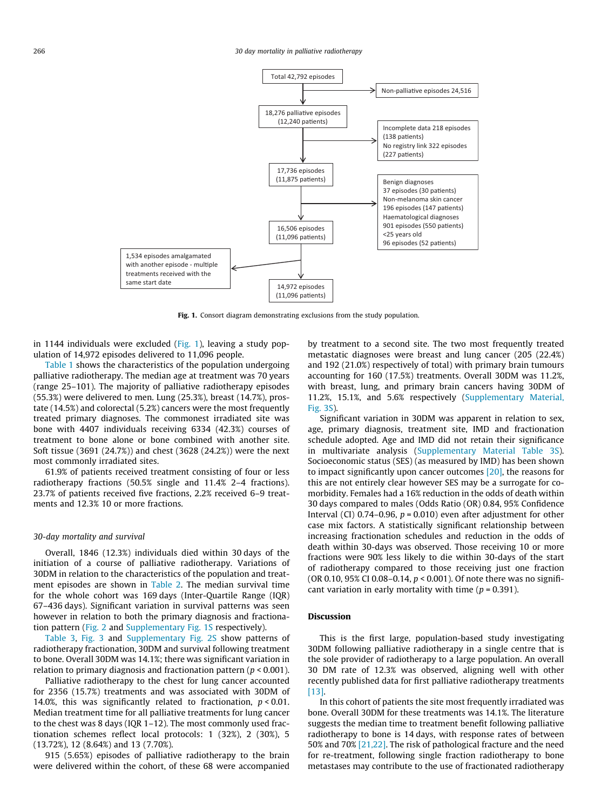<span id="page-2-0"></span>

Fig. 1. Consort diagram demonstrating exclusions from the study population.

in 1144 individuals were excluded (Fig. 1), leaving a study population of 14,972 episodes delivered to 11,096 people.

[Table 1](#page-3-0) shows the characteristics of the population undergoing palliative radiotherapy. The median age at treatment was 70 years (range 25–101). The majority of palliative radiotherapy episodes (55.3%) were delivered to men. Lung (25.3%), breast (14.7%), prostate (14.5%) and colorectal (5.2%) cancers were the most frequently treated primary diagnoses. The commonest irradiated site was bone with 4407 individuals receiving 6334 (42.3%) courses of treatment to bone alone or bone combined with another site. Soft tissue (3691 (24.7%)) and chest (3628 (24.2%)) were the next most commonly irradiated sites.

61.9% of patients received treatment consisting of four or less radiotherapy fractions (50.5% single and 11.4% 2–4 fractions). 23.7% of patients received five fractions, 2.2% received 6–9 treatments and 12.3% 10 or more fractions.

## 30-day mortality and survival

Overall, 1846 (12.3%) individuals died within 30 days of the initiation of a course of palliative radiotherapy. Variations of 30DM in relation to the characteristics of the population and treatment episodes are shown in [Table 2](#page-4-0). The median survival time for the whole cohort was 169 days (Inter-Quartile Range (IQR) 67–436 days). Significant variation in survival patterns was seen however in relation to both the primary diagnosis and fractionation pattern ([Fig. 2](#page-5-0) and Supplementary Fig. 1S respectively).

[Table 3,](#page-5-0) [Fig. 3](#page-6-0) and Supplementary Fig. 2S show patterns of radiotherapy fractionation, 30DM and survival following treatment to bone. Overall 30DM was 14.1%; there was significant variation in relation to primary diagnosis and fractionation pattern ( $p < 0.001$ ).

Palliative radiotherapy to the chest for lung cancer accounted for 2356 (15.7%) treatments and was associated with 30DM of 14.0%, this was significantly related to fractionation,  $p < 0.01$ . Median treatment time for all palliative treatments for lung cancer to the chest was 8 days (IQR 1–12). The most commonly used fractionation schemes reflect local protocols: 1 (32%), 2 (30%), 5 (13.72%), 12 (8.64%) and 13 (7.70%).

915 (5.65%) episodes of palliative radiotherapy to the brain were delivered within the cohort, of these 68 were accompanied by treatment to a second site. The two most frequently treated metastatic diagnoses were breast and lung cancer (205 (22.4%) and 192 (21.0%) respectively of total) with primary brain tumours accounting for 160 (17.5%) treatments. Overall 30DM was 11.2%, with breast, lung, and primary brain cancers having 30DM of 11.2%, 15.1%, and 5.6% respectively (Supplementary Material, Fig. 3S).

Significant variation in 30DM was apparent in relation to sex, age, primary diagnosis, treatment site, IMD and fractionation schedule adopted. Age and IMD did not retain their significance in multivariate analysis (Supplementary Material Table 3S). Socioeconomic status (SES) (as measured by IMD) has been shown to impact significantly upon cancer outcomes [\[20\]](#page-7-0), the reasons for this are not entirely clear however SES may be a surrogate for comorbidity. Females had a 16% reduction in the odds of death within 30 days compared to males (Odds Ratio (OR) 0.84, 95% Confidence Interval (CI) 0.74–0.96,  $p = 0.010$ ) even after adjustment for other case mix factors. A statistically significant relationship between increasing fractionation schedules and reduction in the odds of death within 30-days was observed. Those receiving 10 or more fractions were 90% less likely to die within 30-days of the start of radiotherapy compared to those receiving just one fraction (OR 0.10, 95% CI 0.08-0.14,  $p < 0.001$ ). Of note there was no significant variation in early mortality with time ( $p = 0.391$ ).

# Discussion

This is the first large, population-based study investigating 30DM following palliative radiotherapy in a single centre that is the sole provider of radiotherapy to a large population. An overall 30 DM rate of 12.3% was observed, aligning well with other recently published data for first palliative radiotherapy treatments [\[13\]](#page-7-0).

In this cohort of patients the site most frequently irradiated was bone. Overall 30DM for these treatments was 14.1%. The literature suggests the median time to treatment benefit following palliative radiotherapy to bone is 14 days, with response rates of between 50% and 70% [\[21,22\]](#page-7-0). The risk of pathological fracture and the need for re-treatment, following single fraction radiotherapy to bone metastases may contribute to the use of fractionated radiotherapy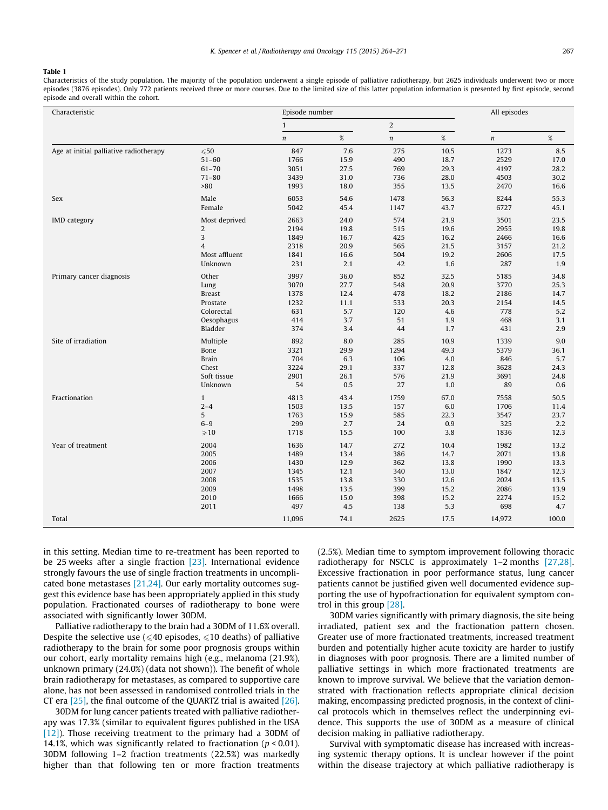#### <span id="page-3-0"></span>Table 1

Characteristics of the study population. The majority of the population underwent a single episode of palliative radiotherapy, but 2625 individuals underwent two or more episodes (3876 episodes). Only 772 patients received three or more courses. Due to the limited size of this latter population information is presented by first episode, second episode and overall within the cohort.

| Characteristic                         |                | Episode number   |      | All episodes     |      |            |       |  |
|----------------------------------------|----------------|------------------|------|------------------|------|------------|-------|--|
|                                        |                | $\mathbf{1}$     |      | $\overline{2}$   |      |            |       |  |
|                                        |                | $\boldsymbol{n}$ | $\%$ | $\boldsymbol{n}$ | $\%$ | $\sqrt{n}$ | $\%$  |  |
| Age at initial palliative radiotherapy | $\leqslant 50$ | 847              | 7.6  | 275              | 10.5 | 1273       | 8.5   |  |
|                                        | $51 - 60$      | 1766             | 15.9 | 490              | 18.7 | 2529       | 17.0  |  |
|                                        | $61 - 70$      | 3051             | 27.5 | 769              | 29.3 | 4197       | 28.2  |  |
|                                        | $71 - 80$      | 3439             | 31.0 | 736              | 28.0 | 4503       | 30.2  |  |
|                                        | >80            | 1993             | 18.0 | 355              | 13.5 | 2470       | 16.6  |  |
| <b>Sex</b>                             | Male           | 6053             | 54.6 | 1478             | 56.3 | 8244       | 55.3  |  |
|                                        | Female         | 5042             | 45.4 | 1147             | 43.7 | 6727       | 45.1  |  |
| <b>IMD</b> category                    | Most deprived  | 2663             | 24.0 | 574              | 21.9 | 3501       | 23.5  |  |
|                                        | $\overline{2}$ | 2194             | 19.8 | 515              | 19.6 | 2955       | 19.8  |  |
|                                        | 3              | 1849             | 16.7 | 425              | 16.2 | 2466       | 16.6  |  |
|                                        | $\overline{4}$ | 2318             | 20.9 | 565              | 21.5 | 3157       | 21.2  |  |
|                                        | Most affluent  | 1841             | 16.6 | 504              | 19.2 | 2606       | 17.5  |  |
|                                        | Unknown        | 231              | 2.1  | 42               | 1.6  | 287        | 1.9   |  |
| Primary cancer diagnosis               | Other          | 3997             | 36.0 | 852              | 32.5 | 5185       | 34.8  |  |
|                                        | Lung           | 3070             | 27.7 | 548              | 20.9 | 3770       | 25.3  |  |
|                                        | <b>Breast</b>  | 1378             | 12.4 | 478              | 18.2 | 2186       | 14.7  |  |
|                                        | Prostate       | 1232             | 11.1 | 533              | 20.3 | 2154       | 14.5  |  |
|                                        | Colorectal     | 631              | 5.7  | 120              | 4.6  | 778        | 5.2   |  |
|                                        | Oesophagus     | 414              | 3.7  | 51               | 1.9  | 468        | 3.1   |  |
|                                        | Bladder        | 374              | 3.4  | 44               | 1.7  | 431        | 2.9   |  |
| Site of irradiation                    | Multiple       | 892              | 8.0  | 285              | 10.9 | 1339       | 9.0   |  |
|                                        | Bone           | 3321             | 29.9 | 1294             | 49.3 | 5379       | 36.1  |  |
|                                        | <b>Brain</b>   | 704              | 6.3  | 106              | 4.0  | 846        | 5.7   |  |
|                                        | Chest          | 3224             | 29.1 | 337              | 12.8 | 3628       | 24.3  |  |
|                                        | Soft tissue    | 2901             | 26.1 | 576              | 21.9 | 3691       | 24.8  |  |
|                                        | Unknown        | 54               | 0.5  | 27               | 1.0  | 89         | 0.6   |  |
| Fractionation                          | $\mathbf{1}$   | 4813             | 43.4 | 1759             | 67.0 | 7558       | 50.5  |  |
|                                        | $2 - 4$        | 1503             | 13.5 | 157              | 6.0  | 1706       | 11.4  |  |
|                                        | 5              | 1763             | 15.9 | 585              | 22.3 | 3547       | 23.7  |  |
|                                        | $6-9$          | 299              | 2.7  | 24               | 0.9  | 325        | 2.2   |  |
|                                        | $\geqslant$ 10 | 1718             | 15.5 | 100              | 3.8  | 1836       | 12.3  |  |
| Year of treatment                      | 2004           | 1636             | 14.7 | 272              | 10.4 | 1982       | 13.2  |  |
|                                        | 2005           | 1489             | 13.4 | 386              | 14.7 | 2071       | 13.8  |  |
|                                        | 2006           | 1430             | 12.9 | 362              | 13.8 | 1990       | 13.3  |  |
|                                        | 2007           | 1345             | 12.1 | 340              | 13.0 | 1847       | 12.3  |  |
|                                        | 2008           | 1535             | 13.8 | 330              | 12.6 | 2024       | 13.5  |  |
|                                        | 2009           | 1498             | 13.5 | 399              | 15.2 | 2086       | 13.9  |  |
|                                        | 2010           | 1666             | 15.0 | 398              | 15.2 | 2274       | 15.2  |  |
|                                        | 2011           | 497              | 4.5  | 138              | 5.3  | 698        | 4.7   |  |
| Total                                  |                | 11,096           | 74.1 | 2625             | 17.5 | 14,972     | 100.0 |  |

in this setting. Median time to re-treatment has been reported to be 25 weeks after a single fraction [\[23\].](#page-7-0) International evidence strongly favours the use of single fraction treatments in uncomplicated bone metastases [\[21,24\].](#page-7-0) Our early mortality outcomes suggest this evidence base has been appropriately applied in this study population. Fractionated courses of radiotherapy to bone were associated with significantly lower 30DM.

Palliative radiotherapy to the brain had a 30DM of 11.6% overall. Despite the selective use ( $\leq 40$  episodes,  $\leq 10$  deaths) of palliative radiotherapy to the brain for some poor prognosis groups within our cohort, early mortality remains high (e.g., melanoma (21.9%), unknown primary (24.0%) (data not shown)). The benefit of whole brain radiotherapy for metastases, as compared to supportive care alone, has not been assessed in randomised controlled trials in the CT era  $[25]$ , the final outcome of the QUARTZ trial is awaited  $[26]$ .

30DM for lung cancer patients treated with palliative radiotherapy was 17.3% (similar to equivalent figures published in the USA [\[12\]\)](#page-7-0). Those receiving treatment to the primary had a 30DM of 14.1%, which was significantly related to fractionation ( $p < 0.01$ ). 30DM following 1–2 fraction treatments (22.5%) was markedly higher than that following ten or more fraction treatments (2.5%). Median time to symptom improvement following thoracic radiotherapy for NSCLC is approximately 1–2 months [\[27,28\].](#page-7-0) Excessive fractionation in poor performance status, lung cancer patients cannot be justified given well documented evidence supporting the use of hypofractionation for equivalent symptom control in this group [\[28\].](#page-7-0)

30DM varies significantly with primary diagnosis, the site being irradiated, patient sex and the fractionation pattern chosen. Greater use of more fractionated treatments, increased treatment burden and potentially higher acute toxicity are harder to justify in diagnoses with poor prognosis. There are a limited number of palliative settings in which more fractionated treatments are known to improve survival. We believe that the variation demonstrated with fractionation reflects appropriate clinical decision making, encompassing predicted prognosis, in the context of clinical protocols which in themselves reflect the underpinning evidence. This supports the use of 30DM as a measure of clinical decision making in palliative radiotherapy.

Survival with symptomatic disease has increased with increasing systemic therapy options. It is unclear however if the point within the disease trajectory at which palliative radiotherapy is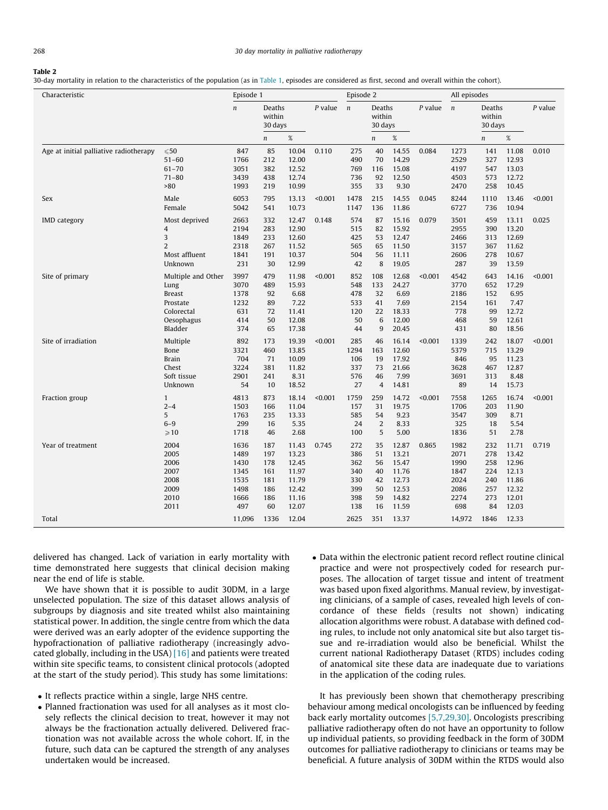#### <span id="page-4-0"></span>Table 2

30-day mortality in relation to the characteristics of the population (as in [Table 1,](#page-3-0) episodes are considered as first, second and overall within the cohort).

| Characteristic                         |                                                                                                | Episode 1                                                   |                                                     |                                                                      |           | Episode 2                                            |                                               |                                                                      |         | All episodes                                                |                                                     |                                                                      |           |
|----------------------------------------|------------------------------------------------------------------------------------------------|-------------------------------------------------------------|-----------------------------------------------------|----------------------------------------------------------------------|-----------|------------------------------------------------------|-----------------------------------------------|----------------------------------------------------------------------|---------|-------------------------------------------------------------|-----------------------------------------------------|----------------------------------------------------------------------|-----------|
|                                        |                                                                                                | $\boldsymbol{n}$                                            | Deaths<br>within<br>30 days                         |                                                                      | $P$ value | $\boldsymbol{n}$                                     | Deaths<br>within<br>30 days                   | $P$ value                                                            |         | $\boldsymbol{n}$                                            | Deaths<br>within<br>30 days                         |                                                                      | $P$ value |
|                                        |                                                                                                |                                                             | $\boldsymbol{n}$                                    | $\%$                                                                 |           |                                                      | $\boldsymbol{n}$                              | $\%$                                                                 |         |                                                             | $\boldsymbol{n}$                                    | $\%$                                                                 |           |
| Age at initial palliative radiotherapy | $\leqslant 50$<br>$51 - 60$<br>$61 - 70$<br>$71 - 80$<br>>80                                   | 847<br>1766<br>3051<br>3439<br>1993                         | 85<br>212<br>382<br>438<br>219                      | 10.04<br>12.00<br>12.52<br>12.74<br>10.99                            | 0.110     | 275<br>490<br>769<br>736<br>355                      | 40<br>70<br>116<br>92<br>33                   | 14.55<br>14.29<br>15.08<br>12.50<br>9.30                             | 0.084   | 1273<br>2529<br>4197<br>4503<br>2470                        | 141<br>327<br>547<br>573<br>258                     | 11.08<br>12.93<br>13.03<br>12.72<br>10.45                            | 0.010     |
| Sex                                    | Male<br>Female                                                                                 | 6053<br>5042                                                | 795<br>541                                          | 13.13<br>10.73                                                       | < 0.001   | 1478<br>1147                                         | 215<br>136                                    | 14.55<br>11.86                                                       | 0.045   | 8244<br>6727                                                | 1110<br>736                                         | 13.46<br>10.94                                                       | < 0.001   |
| <b>IMD</b> category                    | Most deprived<br>4<br>3<br>$\overline{2}$<br>Most affluent<br>Unknown                          | 2663<br>2194<br>1849<br>2318<br>1841<br>231                 | 332<br>283<br>233<br>267<br>191<br>30               | 12.47<br>12.90<br>12.60<br>11.52<br>10.37<br>12.99                   | 0.148     | 574<br>515<br>425<br>565<br>504<br>42                | 87<br>82<br>53<br>65<br>56<br>8               | 15.16<br>15.92<br>12.47<br>11.50<br>11.11<br>19.05                   | 0.079   | 3501<br>2955<br>2466<br>3157<br>2606<br>287                 | 459<br>390<br>313<br>367<br>278<br>39               | 13.11<br>13.20<br>12.69<br>11.62<br>10.67<br>13.59                   | 0.025     |
| Site of primary                        | Multiple and Other<br>Lung<br><b>Breast</b><br>Prostate<br>Colorectal<br>Oesophagus<br>Bladder | 3997<br>3070<br>1378<br>1232<br>631<br>414<br>374           | 479<br>489<br>92<br>89<br>72<br>50<br>65            | 11.98<br>15.93<br>6.68<br>7.22<br>11.41<br>12.08<br>17.38            | < 0.001   | 852<br>548<br>478<br>533<br>120<br>50<br>44          | 108<br>133<br>32<br>41<br>22<br>6<br>9        | 12.68<br>24.27<br>6.69<br>7.69<br>18.33<br>12.00<br>20.45            | < 0.001 | 4542<br>3770<br>2186<br>2154<br>778<br>468<br>431           | 643<br>652<br>152<br>161<br>99<br>59<br>80          | 14.16<br>17.29<br>6.95<br>7.47<br>12.72<br>12.61<br>18.56            | < 0.001   |
| Site of irradiation                    | Multiple<br>Bone<br><b>Brain</b><br>Chest<br>Soft tissue<br>Unknown                            | 892<br>3321<br>704<br>3224<br>2901<br>54                    | 173<br>460<br>71<br>381<br>241<br>10                | 19.39<br>13.85<br>10.09<br>11.82<br>8.31<br>18.52                    | < 0.001   | 285<br>1294<br>106<br>337<br>576<br>27               | 46<br>163<br>19<br>73<br>46<br>$\overline{4}$ | 16.14<br>12.60<br>17.92<br>21.66<br>7.99<br>14.81                    | < 0.001 | 1339<br>5379<br>846<br>3628<br>3691<br>89                   | 242<br>715<br>95<br>467<br>313<br>14                | 18.07<br>13.29<br>11.23<br>12.87<br>8.48<br>15.73                    | < 0.001   |
| Fraction group                         | $\mathbf{1}$<br>$2 - 4$<br>5<br>$6 - 9$<br>$\geqslant$ 10                                      | 4813<br>1503<br>1763<br>299<br>1718                         | 873<br>166<br>235<br>16<br>46                       | 18.14<br>11.04<br>13.33<br>5.35<br>2.68                              | < 0.001   | 1759<br>157<br>585<br>24<br>100                      | 259<br>31<br>54<br>$\overline{2}$<br>5        | 14.72<br>19.75<br>9.23<br>8.33<br>5.00                               | < 0.001 | 7558<br>1706<br>3547<br>325<br>1836                         | 1265<br>203<br>309<br>18<br>51                      | 16.74<br>11.90<br>8.71<br>5.54<br>2.78                               | < 0.001   |
| Year of treatment                      | 2004<br>2005<br>2006<br>2007<br>2008<br>2009<br>2010<br>2011                                   | 1636<br>1489<br>1430<br>1345<br>1535<br>1498<br>1666<br>497 | 187<br>197<br>178<br>161<br>181<br>186<br>186<br>60 | 11.43<br>13.23<br>12.45<br>11.97<br>11.79<br>12.42<br>11.16<br>12.07 | 0.745     | 272<br>386<br>362<br>340<br>330<br>399<br>398<br>138 | 35<br>51<br>56<br>40<br>42<br>50<br>59<br>16  | 12.87<br>13.21<br>15.47<br>11.76<br>12.73<br>12.53<br>14.82<br>11.59 | 0.865   | 1982<br>2071<br>1990<br>1847<br>2024<br>2086<br>2274<br>698 | 232<br>278<br>258<br>224<br>240<br>257<br>273<br>84 | 11.71<br>13.42<br>12.96<br>12.13<br>11.86<br>12.32<br>12.01<br>12.03 | 0.719     |
| Total                                  |                                                                                                | 11,096                                                      | 1336                                                | 12.04                                                                |           | 2625                                                 | 351                                           | 13.37                                                                |         | 14,972                                                      | 1846                                                | 12.33                                                                |           |

delivered has changed. Lack of variation in early mortality with time demonstrated here suggests that clinical decision making near the end of life is stable.

We have shown that it is possible to audit 30DM, in a large unselected population. The size of this dataset allows analysis of subgroups by diagnosis and site treated whilst also maintaining statistical power. In addition, the single centre from which the data were derived was an early adopter of the evidence supporting the hypofractionation of palliative radiotherapy (increasingly advocated globally, including in the USA) [\[16\]](#page-7-0) and patients were treated within site specific teams, to consistent clinical protocols (adopted at the start of the study period). This study has some limitations:

- It reflects practice within a single, large NHS centre.
- Planned fractionation was used for all analyses as it most closely reflects the clinical decision to treat, however it may not always be the fractionation actually delivered. Delivered fractionation was not available across the whole cohort. If, in the future, such data can be captured the strength of any analyses undertaken would be increased.
- Data within the electronic patient record reflect routine clinical practice and were not prospectively coded for research purposes. The allocation of target tissue and intent of treatment was based upon fixed algorithms. Manual review, by investigating clinicians, of a sample of cases, revealed high levels of concordance of these fields (results not shown) indicating allocation algorithms were robust. A database with defined coding rules, to include not only anatomical site but also target tissue and re-irradiation would also be beneficial. Whilst the current national Radiotherapy Dataset (RTDS) includes coding of anatomical site these data are inadequate due to variations in the application of the coding rules.

It has previously been shown that chemotherapy prescribing behaviour among medical oncologists can be influenced by feeding back early mortality outcomes [\[5,7,29,30\].](#page-6-0) Oncologists prescribing palliative radiotherapy often do not have an opportunity to follow up individual patients, so providing feedback in the form of 30DM outcomes for palliative radiotherapy to clinicians or teams may be beneficial. A future analysis of 30DM within the RTDS would also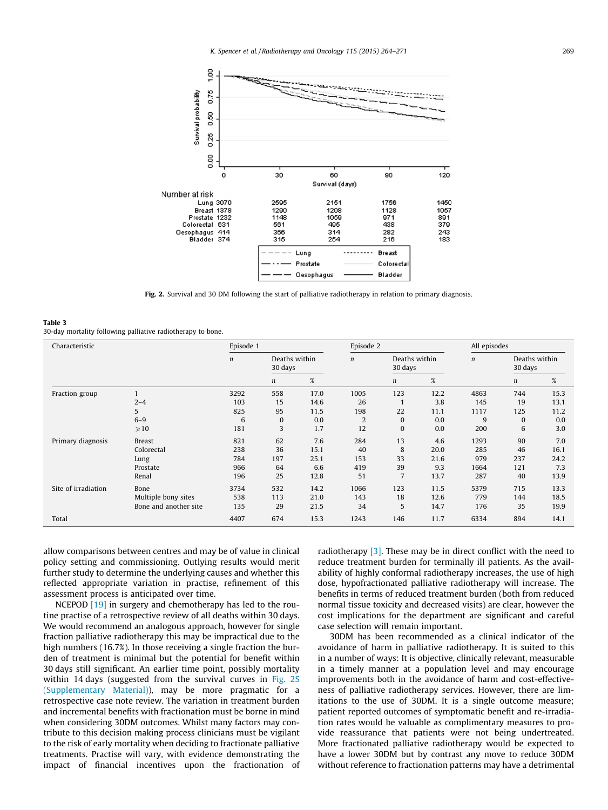<span id="page-5-0"></span>

Fig. 2. Survival and 30 DM following the start of palliative radiotherapy in relation to primary diagnosis.

#### Table 3 30-day mortality following palliative radiotherapy to bone.

| Characteristic      |                                                                            | Episode 1                              |                                  |                                           |                                     | Episode 2                                         |                                           |                                          | All episodes                      |                                           |  |
|---------------------|----------------------------------------------------------------------------|----------------------------------------|----------------------------------|-------------------------------------------|-------------------------------------|---------------------------------------------------|-------------------------------------------|------------------------------------------|-----------------------------------|-------------------------------------------|--|
|                     |                                                                            | $\boldsymbol{n}$                       | Deaths within<br>30 days         |                                           | $\boldsymbol{n}$                    | Deaths within<br>30 days                          |                                           | $\boldsymbol{n}$                         | Deaths within<br>30 days          |                                           |  |
|                     |                                                                            |                                        | n                                | $\%$                                      |                                     | n                                                 | $\%$                                      |                                          | n                                 | $\%$                                      |  |
| Fraction group      | $2 - 4$<br>5<br>$6 - 9$                                                    | 3292<br>103<br>825<br>6                | 558<br>15<br>95<br>$\mathbf{0}$  | 17.0<br>14.6<br>11.5<br>0.0               | 1005<br>26<br>198<br>2              | 123<br>22<br>$\bf{0}$                             | 12.2<br>3.8<br>11.1<br>0.0                | 4863<br>145<br>1117<br>9                 | 744<br>19<br>125<br>$\Omega$      | 15.3<br>13.1<br>11.2<br>0.0               |  |
| Primary diagnosis   | $\geqslant$ 10<br><b>Breast</b><br>Colorectal<br>Lung<br>Prostate<br>Renal | 181<br>821<br>238<br>784<br>966<br>196 | 3<br>62<br>36<br>197<br>64<br>25 | 1.7<br>7.6<br>15.1<br>25.1<br>6.6<br>12.8 | 12<br>284<br>40<br>153<br>419<br>51 | $\bf{0}$<br>13<br>8<br>33<br>39<br>$\overline{7}$ | 0.0<br>4.6<br>20.0<br>21.6<br>9.3<br>13.7 | 200<br>1293<br>285<br>979<br>1664<br>287 | 6<br>90<br>46<br>237<br>121<br>40 | 3.0<br>7.0<br>16.1<br>24.2<br>7.3<br>13.9 |  |
| Site of irradiation | Bone<br>Multiple bony sites<br>Bone and another site                       | 3734<br>538<br>135                     | 532<br>113<br>29                 | 14.2<br>21.0<br>21.5                      | 1066<br>143<br>34                   | 123<br>18<br>5                                    | 11.5<br>12.6<br>14.7                      | 5379<br>779<br>176                       | 715<br>144<br>35                  | 13.3<br>18.5<br>19.9                      |  |
| Total               |                                                                            | 4407                                   | 674                              | 15.3                                      | 1243                                | 146                                               | 11.7                                      | 6334                                     | 894                               | 14.1                                      |  |

allow comparisons between centres and may be of value in clinical policy setting and commissioning. Outlying results would merit further study to determine the underlying causes and whether this reflected appropriate variation in practise, refinement of this assessment process is anticipated over time.

NCEPOD [\[19\]](#page-7-0) in surgery and chemotherapy has led to the routine practise of a retrospective review of all deaths within 30 days. We would recommend an analogous approach, however for single fraction palliative radiotherapy this may be impractical due to the high numbers (16.7%). In those receiving a single fraction the burden of treatment is minimal but the potential for benefit within 30 days still significant. An earlier time point, possibly mortality within 14 days (suggested from the survival curves in Fig. 2S (Supplementary Material)), may be more pragmatic for a retrospective case note review. The variation in treatment burden and incremental benefits with fractionation must be borne in mind when considering 30DM outcomes. Whilst many factors may contribute to this decision making process clinicians must be vigilant to the risk of early mortality when deciding to fractionate palliative treatments. Practise will vary, with evidence demonstrating the impact of financial incentives upon the fractionation of radiotherapy [\[3\].](#page-6-0) These may be in direct conflict with the need to reduce treatment burden for terminally ill patients. As the availability of highly conformal radiotherapy increases, the use of high dose, hypofractionated palliative radiotherapy will increase. The benefits in terms of reduced treatment burden (both from reduced normal tissue toxicity and decreased visits) are clear, however the cost implications for the department are significant and careful case selection will remain important.

30DM has been recommended as a clinical indicator of the avoidance of harm in palliative radiotherapy. It is suited to this in a number of ways: It is objective, clinically relevant, measurable in a timely manner at a population level and may encourage improvements both in the avoidance of harm and cost-effectiveness of palliative radiotherapy services. However, there are limitations to the use of 30DM. It is a single outcome measure; patient reported outcomes of symptomatic benefit and re-irradiation rates would be valuable as complimentary measures to provide reassurance that patients were not being undertreated. More fractionated palliative radiotherapy would be expected to have a lower 30DM but by contrast any move to reduce 30DM without reference to fractionation patterns may have a detrimental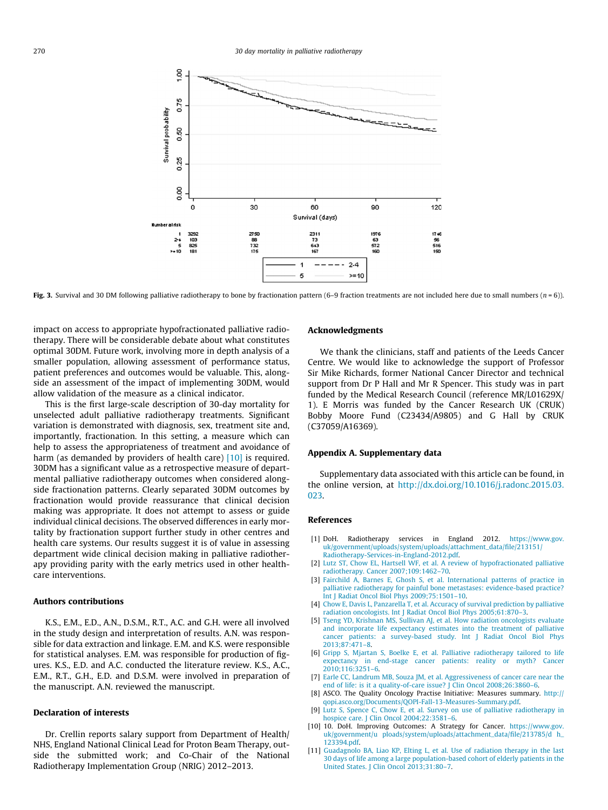<span id="page-6-0"></span>

Fig. 3. Survival and 30 DM following palliative radiotherapy to bone by fractionation pattern (6–9 fraction treatments are not included here due to small numbers ( $n = 6$ )).

impact on access to appropriate hypofractionated palliative radiotherapy. There will be considerable debate about what constitutes optimal 30DM. Future work, involving more in depth analysis of a smaller population, allowing assessment of performance status, patient preferences and outcomes would be valuable. This, alongside an assessment of the impact of implementing 30DM, would allow validation of the measure as a clinical indicator.

This is the first large-scale description of 30-day mortality for unselected adult palliative radiotherapy treatments. Significant variation is demonstrated with diagnosis, sex, treatment site and, importantly, fractionation. In this setting, a measure which can help to assess the appropriateness of treatment and avoidance of harm (as demanded by providers of health care) [10] is required. 30DM has a significant value as a retrospective measure of departmental palliative radiotherapy outcomes when considered alongside fractionation patterns. Clearly separated 30DM outcomes by fractionation would provide reassurance that clinical decision making was appropriate. It does not attempt to assess or guide individual clinical decisions. The observed differences in early mortality by fractionation support further study in other centres and health care systems. Our results suggest it is of value in assessing department wide clinical decision making in palliative radiotherapy providing parity with the early metrics used in other healthcare interventions.

#### Authors contributions

K.S., E.M., E.D., A.N., D.S.M., R.T., A.C. and G.H. were all involved in the study design and interpretation of results. A.N. was responsible for data extraction and linkage. E.M. and K.S. were responsible for statistical analyses. E.M. was responsible for production of figures. K.S., E.D. and A.C. conducted the literature review. K.S., A.C., E.M., R.T., G.H., E.D. and D.S.M. were involved in preparation of the manuscript. A.N. reviewed the manuscript.

# Declaration of interests

Dr. Crellin reports salary support from Department of Health/ NHS, England National Clinical Lead for Proton Beam Therapy, outside the submitted work; and Co-Chair of the National Radiotherapy Implementation Group (NRIG) 2012–2013.

#### Acknowledgments

We thank the clinicians, staff and patients of the Leeds Cancer Centre. We would like to acknowledge the support of Professor Sir Mike Richards, former National Cancer Director and technical support from Dr P Hall and Mr R Spencer. This study was in part funded by the Medical Research Council (reference MR/L01629X/ 1). E Morris was funded by the Cancer Research UK (CRUK) Bobby Moore Fund (C23434/A9805) and G Hall by CRUK (C37059/A16369).

# Appendix A. Supplementary data

Supplementary data associated with this article can be found, in the online version, at [http://dx.doi.org/10.1016/j.radonc.2015.03.](http://dx.doi.org/10.1016/j.radonc.2015.03.023) [023.](http://dx.doi.org/10.1016/j.radonc.2015.03.023)

#### References

- [1] DoH. Radiotherapy services in England 2012. [https://www.gov.](https://www.gov.uk/government/uploads/system/uploads/attachment_data/file/213151/Radiotherapy-Services-in-England-2012.pdf) [uk/government/uploads/system/uploads/attachment\\_data/file/213151/](https://www.gov.uk/government/uploads/system/uploads/attachment_data/file/213151/Radiotherapy-Services-in-England-2012.pdf) [Radiotherapy-Services-in-England-2012.pdf](https://www.gov.uk/government/uploads/system/uploads/attachment_data/file/213151/Radiotherapy-Services-in-England-2012.pdf).
- [2] [Lutz ST, Chow EL, Hartsell WF, et al. A review of hypofractionated palliative](http://refhub.elsevier.com/S0167-8140(15)00162-0/h0010) [radiotherapy. Cancer 2007;109:1462–70.](http://refhub.elsevier.com/S0167-8140(15)00162-0/h0010)
- [3] [Fairchild A, Barnes E, Ghosh S, et al. International patterns of practice in](http://refhub.elsevier.com/S0167-8140(15)00162-0/h0015) [palliative radiotherapy for painful bone metastases: evidence-based practice?](http://refhub.elsevier.com/S0167-8140(15)00162-0/h0015) [Int J Radiat Oncol Biol Phys 2009;75:1501–10](http://refhub.elsevier.com/S0167-8140(15)00162-0/h0015).
- [4] [Chow E, Davis L, Panzarella T, et al. Accuracy of survival prediction by palliative](http://refhub.elsevier.com/S0167-8140(15)00162-0/h0020) [radiation oncologists. Int J Radiat Oncol Biol Phys 2005;61:870–3.](http://refhub.elsevier.com/S0167-8140(15)00162-0/h0020)
- [5] [Tseng YD, Krishnan MS, Sullivan AJ, et al. How radiation oncologists evaluate](http://refhub.elsevier.com/S0167-8140(15)00162-0/h0025) [and incorporate life expectancy estimates into the treatment of palliative](http://refhub.elsevier.com/S0167-8140(15)00162-0/h0025) [cancer patients: a survey-based study. Int J Radiat Oncol Biol Phys](http://refhub.elsevier.com/S0167-8140(15)00162-0/h0025) [2013;87:471–8](http://refhub.elsevier.com/S0167-8140(15)00162-0/h0025).
- [6] [Gripp S, Mjartan S, Boelke E, et al. Palliative radiotherapy tailored to life](http://refhub.elsevier.com/S0167-8140(15)00162-0/h0030) [expectancy in end-stage cancer patients: reality or myth? Cancer](http://refhub.elsevier.com/S0167-8140(15)00162-0/h0030) [2010;116:3251–6.](http://refhub.elsevier.com/S0167-8140(15)00162-0/h0030)
- [7] [Earle CC, Landrum MB, Souza JM, et al. Aggressiveness of cancer care near the](http://refhub.elsevier.com/S0167-8140(15)00162-0/h0035) end of life: is it a quality-of-care issue? J Clin Oncol 2008;26:3860-6.
- [8] ASCO. The Quality Oncology Practise Initiative: Measures summary. [http://](http://qopi.asco.org/Documents/QOPI-Fall-13-Measures-Summary.pdf) [qopi.asco.org/Documents/QOPI-Fall-13-Measures-Summary.pdf.](http://qopi.asco.org/Documents/QOPI-Fall-13-Measures-Summary.pdf)
- [9] [Lutz S, Spence C, Chow E, et al. Survey on use of palliative radiotherapy in](http://refhub.elsevier.com/S0167-8140(15)00162-0/h0045) [hospice care. J Clin Oncol 2004;22:3581–6](http://refhub.elsevier.com/S0167-8140(15)00162-0/h0045).
- [10] 10. DoH. Improving Outcomes: A Strategy for Cancer. [https://www.gov.](https://www.gov.uk/government/u%20ploads/system/uploads/attachment_data/file/213785/d%20h_123394.pdf) [uk/government/u ploads/system/uploads/attachment\\_data/file/213785/d h\\_](https://www.gov.uk/government/u%20ploads/system/uploads/attachment_data/file/213785/d%20h_123394.pdf) [123394.pdf.](https://www.gov.uk/government/u%20ploads/system/uploads/attachment_data/file/213785/d%20h_123394.pdf)
- [11] [Guadagnolo BA, Liao KP, Elting L, et al. Use of radiation therapy in the last](http://refhub.elsevier.com/S0167-8140(15)00162-0/h0055) [30 days of life among a large population-based cohort of elderly patients in the](http://refhub.elsevier.com/S0167-8140(15)00162-0/h0055) [United States. J Clin Oncol 2013;31:80–7.](http://refhub.elsevier.com/S0167-8140(15)00162-0/h0055)